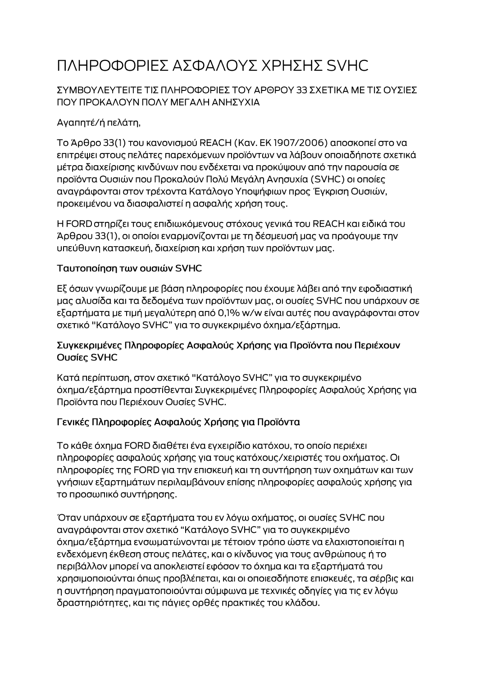# ΠΛΗΡΟΦΟΡΙΕΣ ΑΣΦΑΛΟΥΣ ΧΡΗΣΗΣ SVHC

### ΣΥΜΒΟΥΛΕΥΤΕΙΤΕ ΤΙΣ ΠΛΗΡΟΦΟΡΙΕΣ ΤΟΥ ΑΡΘΡΟΥ 33 ΣΧΕΤΙΚΑ ΜΕ ΤΙΣ ΟΥΣΙΕΣ ΠΟΥ ΠΡΟΚΑΛΟΥΝ ΠΟΛΥ ΜΕΓΑΛΗ ΑΝΗΣΥΧΙΑ

# Αγαπητέ/ή πελάτη,

Το Άρθρο 33(1) του κανονισμού REACH (Καν. ΕΚ 1907/2006) αποσκοπεί στο να επιτρέψει στους πελάτες παρεχόμενων προϊόντων να λάβουν οποιαδήποτε σχετικά μέτρα διαχείρισης κινδύνων που ενδέχεται να προκύψουν από την παρουσία σε προϊόντα Ουσιών που Προκαλούν Πολύ Μεγάλη Ανησυχία (SVHC) οι οποίες αναγράφονται στον τρέχοντα Κατάλογο Υποψήφιων προς Έγκριση Ουσιών, προκειμένου να διασφαλιστεί η ασφαλής χρήση τους.

Η FORD στηρίζει τους επιδιωκόμενους στόχους γενικά του REACH και ειδικά του Άρθρου 33(1), οι οποίοι εναρμονίζονται με τη δέσμευσή μας να προάγουμε την υπεύθυνη κατασκευή, διαχείριση και χρήση των προϊόντων μας.

#### Ταυτοποίηση των ουσιών SVHC

Εξ όσων γνωρίζουμε με βάση πληροφορίες που έχουμε λάβει από την εφοδιαστική μας αλυσίδα και τα δεδομένα των προϊόντων μας, οι ουσίες SVHC που υπάρχουν σε εξαρτήματα με τιμή μεγαλύτερη από 0,1% w/w είναι αυτές που αναγράφονται στον σχετικό "Κατάλογο SVHC" για το συγκεκριμένο όχημα/εξάρτημα.

#### Συγκεκριμένες Πληροφορίες Ασφαλούς Χρήσης για Προϊόντα που Περιέχουν Ουσίες SVHC

Κατά περίπτωση, στον σχετικό "Κατάλογο SVHC" για το συγκεκριμένο όχημα/εξάρτημα προστίθενται Συγκεκριμένες Πληροφορίες Ασφαλούς Χρήσης για Προϊόντα που Περιέχουν Ουσίες SVHC.

## Γενικές Πληροφορίες Ασφαλούς Χρήσης για Προϊόντα

Το κάθε όχημα FORD διαθέτει ένα εγχειρίδιο κατόχου, το οποίο περιέχει πληροφορίες ασφαλούς χρήσης για τους κατόχους/χειριστές του οχήματος. Οι πληροφορίες της FORD για την επισκευή και τη συντήρηση των οχημάτων και των γνήσιων εξαρτημάτων περιλαμβάνουν επίσης πληροφορίες ασφαλούς χρήσης για το προσωπικό συντήρησης.

Όταν υπάρχουν σε εξαρτήματα του εν λόγω οχήματος, οι ουσίες SVHC που αναγράφονται στον σχετικό "Κατάλογο SVHC" για το συγκεκριμένο όχημα/εξάρτημα ενσωματώνονται με τέτοιον τρόπο ώστε να ελαχιστοποιείται η ενδεχόμενη έκθεση στους πελάτες, και ο κίνδυνος για τους ανθρώπους ή το περιβάλλον μπορεί να αποκλειστεί εφόσον το όχημα και τα εξαρτήματά του χρησιμοποιούνται όπως προβλέπεται, και οι οποιεσδήποτε επισκευές, τα σέρβις και η συντήρηση πραγματοποιούνται σύμφωνα με τεχνικές οδηγίες για τις εν λόγω δραστηριότητες, και τις πάγιες ορθές πρακτικές του κλάδου.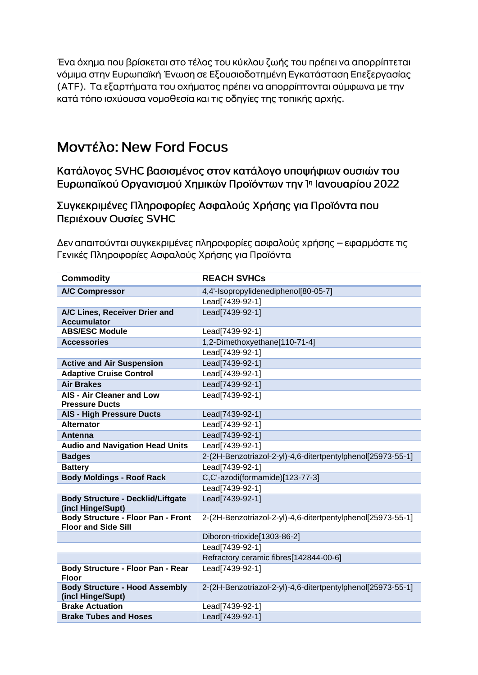Ένα όχημα που βρίσκεται στο τέλος του κύκλου ζωής του πρέπει να απορρίπτεται νόμιμα στην Ευρωπαϊκή Ένωση σε Εξουσιοδοτημένη Εγκατάσταση Επεξεργασίας (ΑΤΕ). Τα εξαρτήματα του οχήματος πρέπει να απορρίπτονται σύμφωνα με την κατά τόπο ισχύουσα νομοθεσία και τις οδηγίες της τοπικής αρχής.

# **Movτέλο: New Ford Focus**

Κατάλογος SVHC βασισμένος στον κατάλογο υποψήφιων ουσιών του Ευρωπαϊκού Οργανισμού Χημικών Προϊόντων την 1η Ιανουαρίου 2022

Συγκεκριμένες Πληροφορίες Ασφαλούς Χρήσης για Προϊόντα που Περιέχουν Ουσίες SVHC

Δεν απαιτούνται συγκεκριμένες πληροφορίες ασφαλούς χρήσης – εφαρμόστε τις Γενικές Πληροφορίες Ασφαλούς Χρήσης για Προϊόντα

| <b>Commodity</b>                                                        | <b>REACH SVHCs</b>                                          |
|-------------------------------------------------------------------------|-------------------------------------------------------------|
| <b>A/C Compressor</b>                                                   | 4,4'-Isopropylidenediphenol[80-05-7]                        |
|                                                                         | Lead[7439-92-1]                                             |
| A/C Lines, Receiver Drier and<br><b>Accumulator</b>                     | Lead[7439-92-1]                                             |
| <b>ABS/ESC Module</b>                                                   | Lead[7439-92-1]                                             |
| <b>Accessories</b>                                                      | 1,2-Dimethoxyethane[110-71-4]                               |
|                                                                         | Lead[7439-92-1]                                             |
| <b>Active and Air Suspension</b>                                        | Lead[7439-92-1]                                             |
| <b>Adaptive Cruise Control</b>                                          | Lead[7439-92-1]                                             |
| <b>Air Brakes</b>                                                       | Lead[7439-92-1]                                             |
| <b>AIS - Air Cleaner and Low</b><br><b>Pressure Ducts</b>               | Lead[7439-92-1]                                             |
| <b>AIS - High Pressure Ducts</b>                                        | Lead[7439-92-1]                                             |
| <b>Alternator</b>                                                       | Lead[7439-92-1]                                             |
| <b>Antenna</b>                                                          | Lead[7439-92-1]                                             |
| <b>Audio and Navigation Head Units</b>                                  | Lead[7439-92-1]                                             |
| <b>Badges</b>                                                           | 2-(2H-Benzotriazol-2-yl)-4,6-ditertpentylphenol[25973-55-1] |
| <b>Battery</b>                                                          | Lead[7439-92-1]                                             |
| <b>Body Moldings - Roof Rack</b>                                        | C,C'-azodi(formamide)[123-77-3]                             |
|                                                                         | Lead[7439-92-1]                                             |
| <b>Body Structure - Decklid/Liftgate</b><br>(incl Hinge/Supt)           | Lead[7439-92-1]                                             |
| <b>Body Structure - Floor Pan - Front</b><br><b>Floor and Side Sill</b> | 2-(2H-Benzotriazol-2-yl)-4,6-ditertpentylphenol[25973-55-1] |
|                                                                         | Diboron-trioxide[1303-86-2]                                 |
|                                                                         | Lead[7439-92-1]                                             |
|                                                                         | Refractory ceramic fibres[142844-00-6]                      |
| Body Structure - Floor Pan - Rear<br><b>Floor</b>                       | Lead[7439-92-1]                                             |
| <b>Body Structure - Hood Assembly</b><br>(incl Hinge/Supt)              | 2-(2H-Benzotriazol-2-yl)-4,6-ditertpentylphenol[25973-55-1] |
| <b>Brake Actuation</b>                                                  | Lead[7439-92-1]                                             |
| <b>Brake Tubes and Hoses</b>                                            | Lead[7439-92-1]                                             |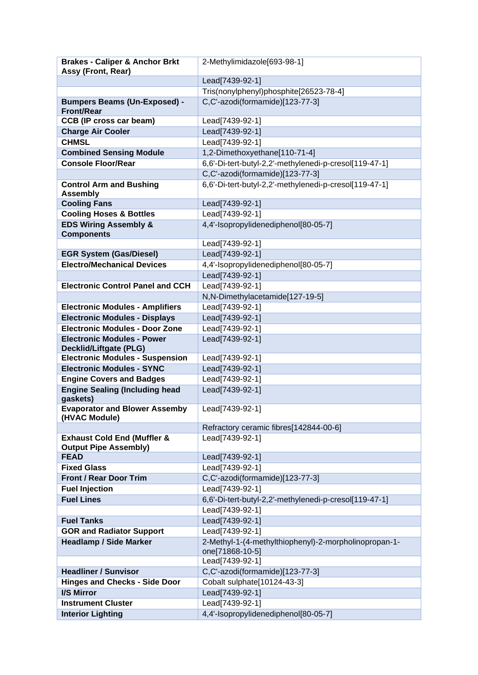| <b>Brakes - Caliper &amp; Anchor Brkt</b>                              | 2-Methylimidazole[693-98-1]                                              |
|------------------------------------------------------------------------|--------------------------------------------------------------------------|
| Assy (Front, Rear)                                                     |                                                                          |
|                                                                        | Lead[7439-92-1]                                                          |
|                                                                        | Tris(nonylphenyl)phosphite[26523-78-4]                                   |
| <b>Bumpers Beams (Un-Exposed) -</b><br><b>Front/Rear</b>               | C,C'-azodi(formamide)[123-77-3]                                          |
| <b>CCB (IP cross car beam)</b>                                         | Lead[7439-92-1]                                                          |
| <b>Charge Air Cooler</b>                                               | Lead[7439-92-1]                                                          |
| <b>CHMSL</b>                                                           | Lead[7439-92-1]                                                          |
| <b>Combined Sensing Module</b>                                         | 1,2-Dimethoxyethane[110-71-4]                                            |
| <b>Console Floor/Rear</b>                                              | 6,6'-Di-tert-butyl-2,2'-methylenedi-p-cresol[119-47-1]                   |
|                                                                        | C,C'-azodi(formamide)[123-77-3]                                          |
| <b>Control Arm and Bushing</b><br><b>Assembly</b>                      | 6,6'-Di-tert-butyl-2,2'-methylenedi-p-cresol[119-47-1]                   |
| <b>Cooling Fans</b>                                                    | Lead[7439-92-1]                                                          |
| <b>Cooling Hoses &amp; Bottles</b>                                     | Lead[7439-92-1]                                                          |
| <b>EDS Wiring Assembly &amp;</b><br><b>Components</b>                  | 4,4'-Isopropylidenediphenol[80-05-7]                                     |
|                                                                        | Lead[7439-92-1]                                                          |
| <b>EGR System (Gas/Diesel)</b>                                         | Lead[7439-92-1]                                                          |
| <b>Electro/Mechanical Devices</b>                                      | 4,4'-Isopropylidenediphenol[80-05-7]                                     |
|                                                                        | Lead[7439-92-1]                                                          |
| <b>Electronic Control Panel and CCH</b>                                | Lead[7439-92-1]                                                          |
|                                                                        | N,N-Dimethylacetamide[127-19-5]                                          |
| <b>Electronic Modules - Amplifiers</b>                                 | Lead[7439-92-1]                                                          |
| <b>Electronic Modules - Displays</b>                                   | Lead[7439-92-1]                                                          |
| <b>Electronic Modules - Door Zone</b>                                  | Lead[7439-92-1]                                                          |
| <b>Electronic Modules - Power</b><br><b>Decklid/Liftgate (PLG)</b>     | Lead[7439-92-1]                                                          |
| <b>Electronic Modules - Suspension</b>                                 | Lead[7439-92-1]                                                          |
| <b>Electronic Modules - SYNC</b>                                       | Lead[7439-92-1]                                                          |
| <b>Engine Covers and Badges</b>                                        | Lead[7439-92-1]                                                          |
| <b>Engine Sealing (Including head</b><br>gaskets)                      | Lead[7439-92-1]                                                          |
| <b>Evaporator and Blower Assemby</b><br>(HVAC Module)                  | Lead[7439-92-1]                                                          |
|                                                                        | Refractory ceramic fibres[142844-00-6]                                   |
| <b>Exhaust Cold End (Muffler &amp;</b><br><b>Output Pipe Assembly)</b> | Lead[7439-92-1]                                                          |
| <b>FEAD</b>                                                            | Lead[7439-92-1]                                                          |
| <b>Fixed Glass</b>                                                     | Lead[7439-92-1]                                                          |
| <b>Front / Rear Door Trim</b>                                          | C,C'-azodi(formamide)[123-77-3]                                          |
| <b>Fuel Injection</b>                                                  | Lead[7439-92-1]                                                          |
| <b>Fuel Lines</b>                                                      | 6,6'-Di-tert-butyl-2,2'-methylenedi-p-cresol[119-47-1]                   |
|                                                                        | Lead[7439-92-1]                                                          |
| <b>Fuel Tanks</b>                                                      | Lead[7439-92-1]                                                          |
| <b>GOR and Radiator Support</b>                                        | Lead[7439-92-1]                                                          |
| <b>Headlamp / Side Marker</b>                                          | 2-Methyl-1-(4-methylthiophenyl)-2-morpholinopropan-1-<br>one[71868-10-5] |
|                                                                        | Lead[7439-92-1]                                                          |
| <b>Headliner / Sunvisor</b>                                            | C,C'-azodi(formamide)[123-77-3]                                          |
| <b>Hinges and Checks - Side Door</b>                                   | Cobalt sulphate[10124-43-3]                                              |
| <b>I/S Mirror</b>                                                      | Lead[7439-92-1]                                                          |
| <b>Instrument Cluster</b>                                              | Lead[7439-92-1]                                                          |
| <b>Interior Lighting</b>                                               | 4,4'-Isopropylidenediphenol[80-05-7]                                     |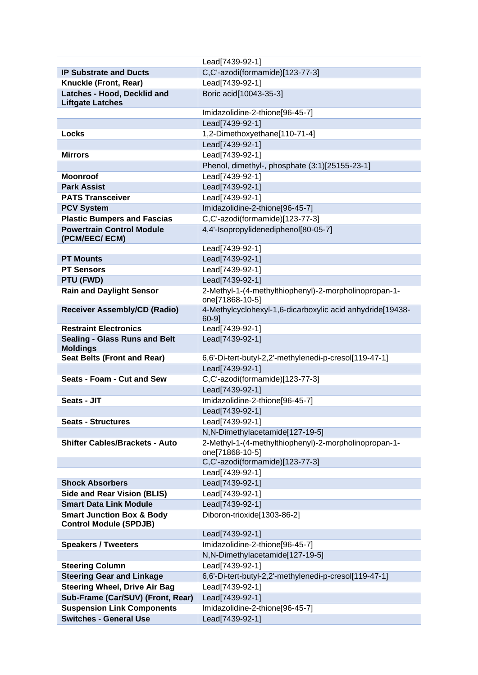|                                       | Lead[7439-92-1]                                           |
|---------------------------------------|-----------------------------------------------------------|
| <b>IP Substrate and Ducts</b>         | C,C'-azodi(formamide)[123-77-3]                           |
| Knuckle (Front, Rear)                 | Lead[7439-92-1]                                           |
| Latches - Hood, Decklid and           | Boric acid[10043-35-3]                                    |
| <b>Liftgate Latches</b>               |                                                           |
|                                       | Imidazolidine-2-thione[96-45-7]                           |
|                                       | Lead[7439-92-1]                                           |
| <b>Locks</b>                          | 1,2-Dimethoxyethane[110-71-4]                             |
|                                       | Lead[7439-92-1]                                           |
| <b>Mirrors</b>                        | Lead[7439-92-1]                                           |
|                                       | Phenol, dimethyl-, phosphate (3:1)[25155-23-1]            |
| <b>Moonroof</b>                       | Lead[7439-92-1]                                           |
| <b>Park Assist</b>                    | Lead[7439-92-1]                                           |
| <b>PATS Transceiver</b>               | Lead[7439-92-1]                                           |
| <b>PCV System</b>                     | Imidazolidine-2-thione[96-45-7]                           |
| <b>Plastic Bumpers and Fascias</b>    | C,C'-azodi(formamide)[123-77-3]                           |
| <b>Powertrain Control Module</b>      | 4,4'-Isopropylidenediphenol[80-05-7]                      |
| (PCM/EEC/ ECM)                        |                                                           |
|                                       | Lead[7439-92-1]                                           |
| <b>PT Mounts</b>                      | Lead[7439-92-1]                                           |
| <b>PT Sensors</b>                     | Lead[7439-92-1]                                           |
| PTU (FWD)                             | Lead[7439-92-1]                                           |
| <b>Rain and Daylight Sensor</b>       | 2-Methyl-1-(4-methylthiophenyl)-2-morpholinopropan-1-     |
|                                       | one[71868-10-5]                                           |
| <b>Receiver Assembly/CD (Radio)</b>   | 4-Methylcyclohexyl-1,6-dicarboxylic acid anhydride[19438- |
|                                       | $60-9$ ]                                                  |
| <b>Restraint Electronics</b>          | Lead[7439-92-1]                                           |
| <b>Sealing - Glass Runs and Belt</b>  | Lead[7439-92-1]                                           |
| <b>Moldings</b>                       |                                                           |
| <b>Seat Belts (Front and Rear)</b>    | 6,6'-Di-tert-butyl-2,2'-methylenedi-p-cresol[119-47-1]    |
|                                       | Lead[7439-92-1]                                           |
| <b>Seats - Foam - Cut and Sew</b>     | C,C'-azodi(formamide)[123-77-3]                           |
|                                       | Lead[7439-92-1]                                           |
| Seats - JIT                           | Imidazolidine-2-thione[96-45-7]                           |
|                                       | Lead[7439-92-1]                                           |
| <b>Seats - Structures</b>             | Lead[7439-92-1]                                           |
|                                       | N,N-Dimethylacetamide[127-19-5]                           |
| <b>Shifter Cables/Brackets - Auto</b> | 2-Methyl-1-(4-methylthiophenyl)-2-morpholinopropan-1-     |
|                                       | one[71868-10-5]                                           |
|                                       | C,C'-azodi(formamide)[123-77-3]                           |
|                                       | Lead[7439-92-1]                                           |
| <b>Shock Absorbers</b>                | Lead[7439-92-1]                                           |
| <b>Side and Rear Vision (BLIS)</b>    | Lead[7439-92-1]                                           |
| <b>Smart Data Link Module</b>         | Lead[7439-92-1]                                           |
| <b>Smart Junction Box &amp; Body</b>  | Diboron-trioxide[1303-86-2]                               |
| <b>Control Module (SPDJB)</b>         |                                                           |
|                                       | Lead[7439-92-1]                                           |
| <b>Speakers / Tweeters</b>            | Imidazolidine-2-thione[96-45-7]                           |
|                                       | N,N-Dimethylacetamide[127-19-5]                           |
| <b>Steering Column</b>                | Lead[7439-92-1]                                           |
| <b>Steering Gear and Linkage</b>      | 6,6'-Di-tert-butyl-2,2'-methylenedi-p-cresol[119-47-1]    |
| <b>Steering Wheel, Drive Air Bag</b>  | Lead[7439-92-1]                                           |
| Sub-Frame (Car/SUV) (Front, Rear)     | Lead[7439-92-1]                                           |
| <b>Suspension Link Components</b>     | Imidazolidine-2-thione[96-45-7]                           |
| <b>Switches - General Use</b>         | Lead[7439-92-1]                                           |